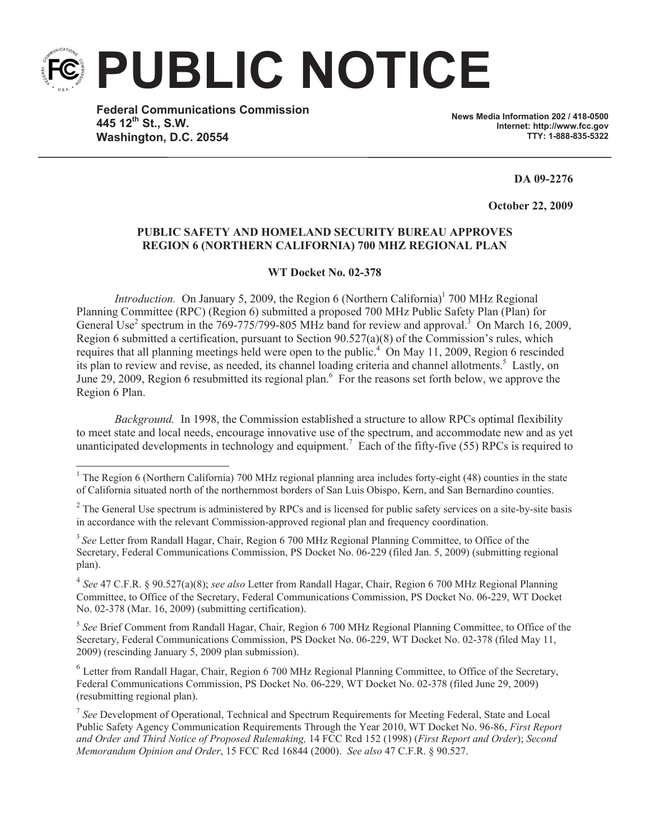**PUBLIC NOTICE**

**Federal Communications Commission 445 12th St., S.W. Washington, D.C. 20554**

**News Media Information 202 / 418-0500 Internet: http://www.fcc.gov TTY: 1-888-835-5322**

**DA 09-2276**

**October 22, 2009** 

## **PUBLIC SAFETY AND HOMELAND SECURITY BUREAU APPROVES REGION 6 (NORTHERN CALIFORNIA) 700 MHZ REGIONAL PLAN**

**WT Docket No. 02-378**

*Introduction.* On January 5, 2009, the Region 6 (Northern California)<sup>1</sup> 700 MHz Regional Planning Committee (RPC) (Region 6) submitted a proposed 700 MHz Public Safety Plan (Plan) for General Use<sup>2</sup> spectrum in the 769-775/799-805 MHz band for review and approval.<sup>3</sup> On March 16, 2009, Region 6 submitted a certification, pursuant to Section 90.527(a)(8) of the Commission's rules, which requires that all planning meetings held were open to the public.<sup>4</sup> On May 11, 2009, Region 6 rescinded its plan to review and revise, as needed, its channel loading criteria and channel allotments.<sup>5</sup> Lastly, on June 29, 2009, Region 6 resubmitted its regional plan.<sup>6</sup> For the reasons set forth below, we approve the Region 6 Plan.

*Background.* In 1998, the Commission established a structure to allow RPCs optimal flexibility to meet state and local needs, encourage innovative use of the spectrum, and accommodate new and as yet unanticipated developments in technology and equipment.<sup>7</sup> Each of the fifty-five (55) RPCs is required to

4 *See* 47 C.F.R. § 90.527(a)(8); *see also* Letter from Randall Hagar, Chair, Region 6 700 MHz Regional Planning Committee, to Office of the Secretary, Federal Communications Commission, PS Docket No. 06-229, WT Docket No. 02-378 (Mar. 16, 2009) (submitting certification).

5 *See* Brief Comment from Randall Hagar, Chair, Region 6 700 MHz Regional Planning Committee, to Office of the Secretary, Federal Communications Commission, PS Docket No. 06-229, WT Docket No. 02-378 (filed May 11, 2009) (rescinding January 5, 2009 plan submission).

<sup>6</sup> Letter from Randall Hagar, Chair, Region 6 700 MHz Regional Planning Committee, to Office of the Secretary, Federal Communications Commission, PS Docket No. 06-229, WT Docket No. 02-378 (filed June 29, 2009) (resubmitting regional plan).

<sup>7</sup> See Development of Operational, Technical and Spectrum Requirements for Meeting Federal, State and Local Public Safety Agency Communication Requirements Through the Year 2010, WT Docket No. 96-86, *First Report and Order and Third Notice of Proposed Rulemaking,* 14 FCC Rcd 152 (1998) (*First Report and Order*); *Second Memorandum Opinion and Order*, 15 FCC Rcd 16844 (2000). *See also* 47 C.F.R. § 90.527.

<sup>&</sup>lt;sup>1</sup> The Region 6 (Northern California) 700 MHz regional planning area includes forty-eight (48) counties in the state of California situated north of the northernmost borders of San Luis Obispo, Kern, and San Bernardino counties.

 $2^2$  The General Use spectrum is administered by RPCs and is licensed for public safety services on a site-by-site basis in accordance with the relevant Commission-approved regional plan and frequency coordination.

<sup>&</sup>lt;sup>3</sup> See Letter from Randall Hagar, Chair, Region 6 700 MHz Regional Planning Committee, to Office of the Secretary, Federal Communications Commission, PS Docket No. 06-229 (filed Jan. 5, 2009) (submitting regional plan).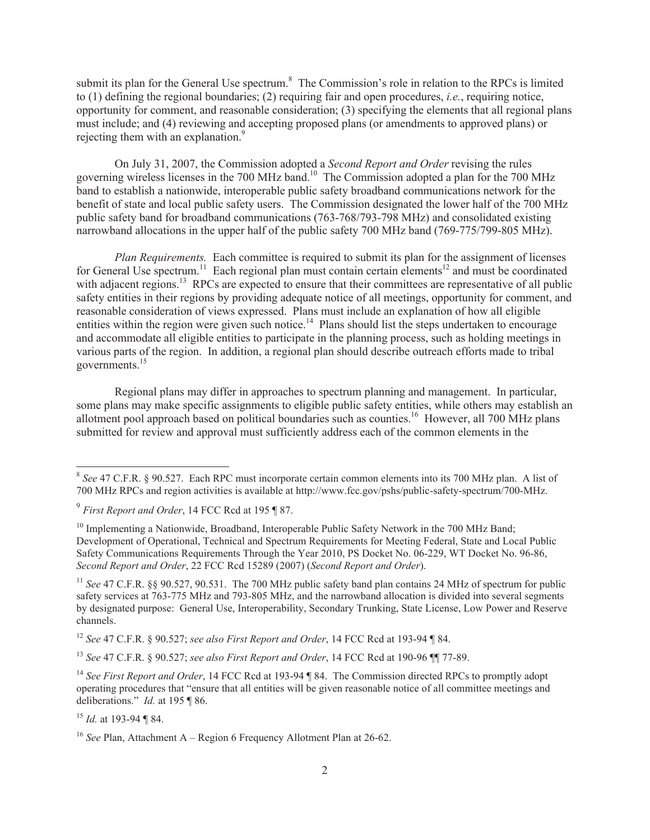submit its plan for the General Use spectrum.<sup>8</sup> The Commission's role in relation to the RPCs is limited to (1) defining the regional boundaries; (2) requiring fair and open procedures, *i.e.*, requiring notice, opportunity for comment, and reasonable consideration; (3) specifying the elements that all regional plans must include; and (4) reviewing and accepting proposed plans (or amendments to approved plans) or rejecting them with an explanation.<sup>9</sup>

On July 31, 2007, the Commission adopted a *Second Report and Order* revising the rules governing wireless licenses in the 700 MHz band.<sup>10</sup> The Commission adopted a plan for the 700 MHz band to establish a nationwide, interoperable public safety broadband communications network for the benefit of state and local public safety users. The Commission designated the lower half of the 700 MHz public safety band for broadband communications (763-768/793-798 MHz) and consolidated existing narrowband allocations in the upper half of the public safety 700 MHz band (769-775/799-805 MHz).

*Plan Requirements.* Each committee is required to submit its plan for the assignment of licenses for General Use spectrum.<sup>11</sup> Each regional plan must contain certain elements<sup>12</sup> and must be coordinated with adjacent regions.<sup>13</sup> RPCs are expected to ensure that their committees are representative of all public safety entities in their regions by providing adequate notice of all meetings, opportunity for comment, and reasonable consideration of views expressed. Plans must include an explanation of how all eligible entities within the region were given such notice.<sup>14</sup> Plans should list the steps undertaken to encourage and accommodate all eligible entities to participate in the planning process, such as holding meetings in various parts of the region. In addition, a regional plan should describe outreach efforts made to tribal governments.<sup>15</sup>

Regional plans may differ in approaches to spectrum planning and management. In particular, some plans may make specific assignments to eligible public safety entities, while others may establish an allotment pool approach based on political boundaries such as counties.<sup>16</sup> However, all 700 MHz plans submitted for review and approval must sufficiently address each of the common elements in the

<sup>12</sup> *See* 47 C.F.R. § 90.527; *see also First Report and Order*, 14 FCC Rcd at 193-94 ¶ 84.

<sup>13</sup> *See* 47 C.F.R. § 90.527; *see also First Report and Order*, 14 FCC Rcd at 190-96 ¶¶ 77-89.

<sup>15</sup> *Id.* at 193-94 ¶ 84.

<sup>8</sup> *See* 47 C.F.R. § 90.527. Each RPC must incorporate certain common elements into its 700 MHz plan. A list of 700 MHz RPCs and region activities is available at http://www.fcc.gov/pshs/public-safety-spectrum/700-MHz.

<sup>9</sup> *First Report and Order*, 14 FCC Rcd at 195 ¶ 87.

 $10$  Implementing a Nationwide, Broadband, Interoperable Public Safety Network in the 700 MHz Band; Development of Operational, Technical and Spectrum Requirements for Meeting Federal, State and Local Public Safety Communications Requirements Through the Year 2010, PS Docket No. 06-229, WT Docket No. 96-86, *Second Report and Order*, 22 FCC Rcd 15289 (2007) (*Second Report and Order*).

<sup>&</sup>lt;sup>11</sup> *See* 47 C.F.R. §§ 90.527, 90.531. The 700 MHz public safety band plan contains 24 MHz of spectrum for public safety services at 763-775 MHz and 793-805 MHz, and the narrowband allocation is divided into several segments by designated purpose: General Use, Interoperability, Secondary Trunking, State License, Low Power and Reserve channels.

<sup>&</sup>lt;sup>14</sup> See First Report and Order, 14 FCC Rcd at 193-94 ¶ 84. The Commission directed RPCs to promptly adopt operating procedures that "ensure that all entities will be given reasonable notice of all committee meetings and deliberations." *Id.* at 195 ¶ 86.

<sup>&</sup>lt;sup>16</sup> *See* Plan, Attachment A – Region 6 Frequency Allotment Plan at 26-62.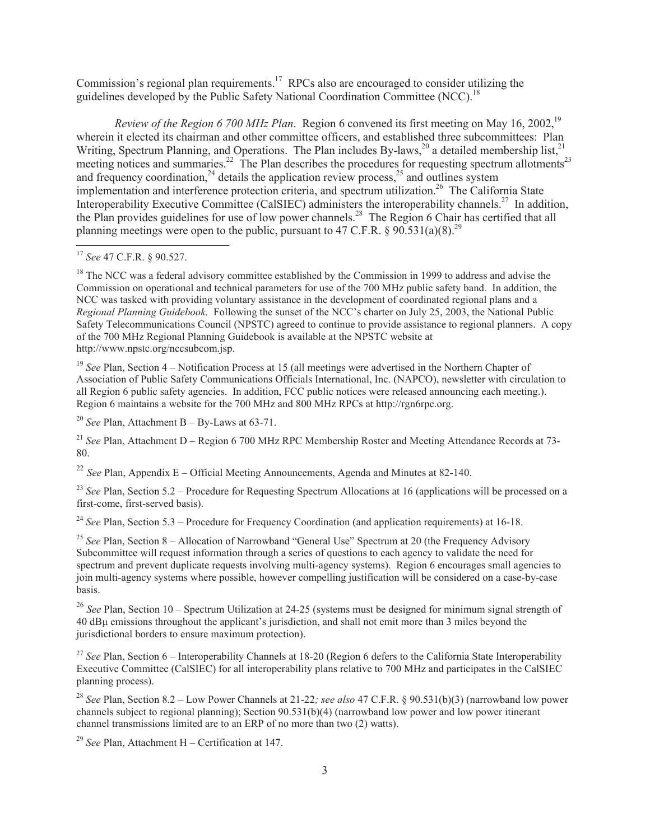Commission's regional plan requirements.<sup>17</sup> RPCs also are encouraged to consider utilizing the guidelines developed by the Public Safety National Coordination Committee (NCC).<sup>18</sup>

*Review of the Region 6 700 MHz Plan.* Region 6 convened its first meeting on May 16, 2002,<sup>19</sup> wherein it elected its chairman and other committee officers, and established three subcommittees: Plan Writing, Spectrum Planning, and Operations. The Plan includes By-laws,<sup>20</sup> a detailed membership list,<sup>21</sup> meeting notices and summaries.<sup>22</sup> The Plan describes the procedures for requesting spectrum allotments<sup>23</sup> and frequency coordination,<sup>24</sup> details the application review process,<sup>25</sup> and outlines system implementation and interference protection criteria, and spectrum utilization.<sup>26</sup> The California State Interoperability Executive Committee (CalSIEC) administers the interoperability channels.<sup>27</sup> In addition, the Plan provides guidelines for use of low power channels.<sup>28</sup> The Region 6 Chair has certified that all planning meetings were open to the public, pursuant to 47 C.F.R.  $\frac{6}{5}$  90.531(a)(8).<sup>29</sup>

<sup>18</sup> The NCC was a federal advisory committee established by the Commission in 1999 to address and advise the Commission on operational and technical parameters for use of the 700 MHz public safety band. In addition, the NCC was tasked with providing voluntary assistance in the development of coordinated regional plans and a *Regional Planning Guidebook.* Following the sunset of the NCC's charter on July 25, 2003, the National Public Safety Telecommunications Council (NPSTC) agreed to continue to provide assistance to regional planners. A copy of the 700 MHz Regional Planning Guidebook is available at the NPSTC website at http://www.npstc.org/nccsubcom.jsp.

<sup>19</sup> *See* Plan, Section 4 – Notification Process at 15 (all meetings were advertised in the Northern Chapter of Association of Public Safety Communications Officials International, Inc. (NAPCO), newsletter with circulation to all Region 6 public safety agencies. In addition, FCC public notices were released announcing each meeting.). Region 6 maintains a website for the 700 MHz and 800 MHz RPCs at http://rgn6rpc.org.

 $20$  *See* Plan, Attachment B – By-Laws at 63-71.

<sup>21</sup> *See* Plan, Attachment D – Region 6 700 MHz RPC Membership Roster and Meeting Attendance Records at 73-80.

<sup>22</sup> *See* Plan, Appendix E – Official Meeting Announcements, Agenda and Minutes at 82-140.

<sup>23</sup> *See* Plan, Section 5.2 – Procedure for Requesting Spectrum Allocations at 16 (applications will be processed on a first-come, first-served basis).

<sup>24</sup> *See* Plan, Section 5.3 – Procedure for Frequency Coordination (and application requirements) at 16-18.

<sup>25</sup> See Plan, Section 8 – Allocation of Narrowband "General Use" Spectrum at 20 (the Frequency Advisory Subcommittee will request information through a series of questions to each agency to validate the need for spectrum and prevent duplicate requests involving multi-agency systems). Region 6 encourages small agencies to join multi-agency systems where possible, however compelling justification will be considered on a case-by-case basis.

<sup>26</sup> *See* Plan, Section 10 – Spectrum Utilization at 24-25 (systems must be designed for minimum signal strength of 40 dBμ emissions throughout the applicant's jurisdiction, and shall not emit more than 3 miles beyond the jurisdictional borders to ensure maximum protection).

<sup>27</sup> See Plan, Section 6 – Interoperability Channels at 18-20 (Region 6 defers to the California State Interoperability Executive Committee (CalSIEC) for all interoperability plans relative to 700 MHz and participates in the CalSIEC planning process).

<sup>28</sup> *See* Plan, Section 8.2 – Low Power Channels at 21-22*; see also* 47 C.F.R. § 90.531(b)(3) (narrowband low power channels subject to regional planning); Section 90.531(b)(4) (narrowband low power and low power itinerant channel transmissions limited are to an ERP of no more than two (2) watts).

<sup>29</sup> *See* Plan, Attachment H – Certification at 147.

<sup>17</sup> *See* 47 C.F.R. § 90.527.